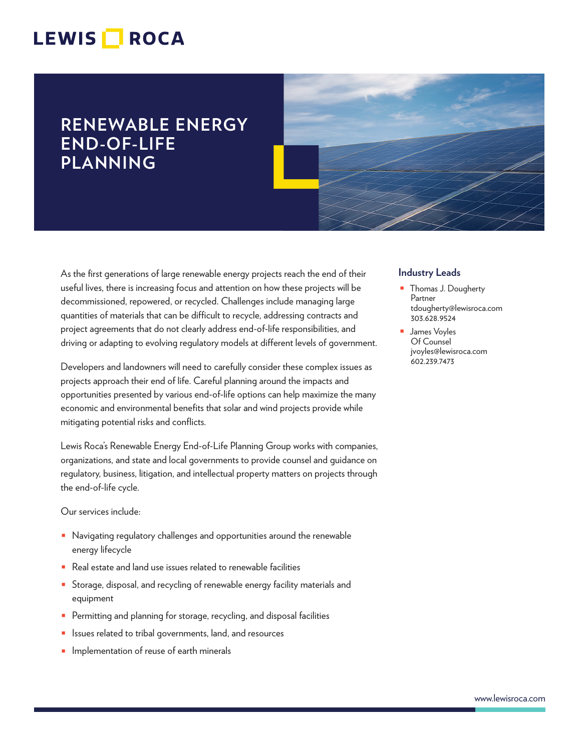## LEWIS **NOCA**

## **RENEWABLE ENERGY END-OF-LIFE PLANNING**

As the first generations of large renewable energy projects reach the end of their useful lives, there is increasing focus and attention on how these projects will be decommissioned, repowered, or recycled. Challenges include managing large quantities of materials that can be difficult to recycle, addressing contracts and project agreements that do not clearly address end-of-life responsibilities, and driving or adapting to evolving regulatory models at different levels of government.

Developers and landowners will need to carefully consider these complex issues as projects approach their end of life. Careful planning around the impacts and opportunities presented by various end-of-life options can help maximize the many economic and environmental benefits that solar and wind projects provide while mitigating potential risks and conflicts.

Lewis Roca's Renewable Energy End-of-Life Planning Group works with companies, organizations, and state and local governments to provide counsel and guidance on regulatory, business, litigation, and intellectual property matters on projects through the end-of-life cycle.

Our services include:

- Navigating regulatory challenges and opportunities around the renewable energy lifecycle
- Real estate and land use issues related to renewable facilities
- Storage, disposal, and recycling of renewable energy facility materials and equipment
- Permitting and planning for storage, recycling, and disposal facilities
- Issues related to tribal governments, land, and resources
- **■** Implementation of reuse of earth minerals

#### **Industry Leads**

- Thomas J. Dougherty Partner tdougherty@lewisroca.com 303.628.9524
- James Voyles Of Counsel jvoyles@lewisroca.com 602.239.7473